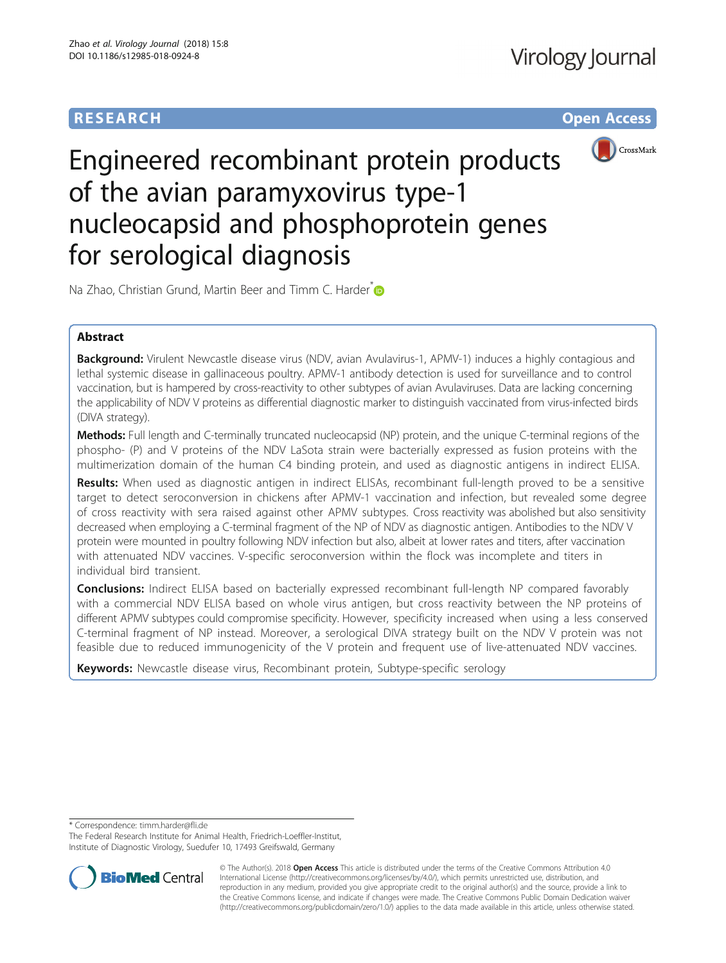## **RESEARCH CHE Open Access**



# Engineered recombinant protein products of the avian paramyxovirus type-1 nucleocapsid and phosphoprotein genes for serological diagnosis

Na Zhao, Christian Grund, Martin Beer and Timm C. Harder  $\bullet$ 

### Abstract

Background: Virulent Newcastle disease virus (NDV, avian Avulavirus-1, APMV-1) induces a highly contagious and lethal systemic disease in gallinaceous poultry. APMV-1 antibody detection is used for surveillance and to control vaccination, but is hampered by cross-reactivity to other subtypes of avian Avulaviruses. Data are lacking concerning the applicability of NDV V proteins as differential diagnostic marker to distinguish vaccinated from virus-infected birds (DIVA strategy).

Methods: Full length and C-terminally truncated nucleocapsid (NP) protein, and the unique C-terminal regions of the phospho- (P) and V proteins of the NDV LaSota strain were bacterially expressed as fusion proteins with the multimerization domain of the human C4 binding protein, and used as diagnostic antigens in indirect ELISA.

Results: When used as diagnostic antigen in indirect ELISAs, recombinant full-length proved to be a sensitive target to detect seroconversion in chickens after APMV-1 vaccination and infection, but revealed some degree of cross reactivity with sera raised against other APMV subtypes. Cross reactivity was abolished but also sensitivity decreased when employing a C-terminal fragment of the NP of NDV as diagnostic antigen. Antibodies to the NDV V protein were mounted in poultry following NDV infection but also, albeit at lower rates and titers, after vaccination with attenuated NDV vaccines. V-specific seroconversion within the flock was incomplete and titers in individual bird transient.

**Conclusions:** Indirect ELISA based on bacterially expressed recombinant full-length NP compared favorably with a commercial NDV ELISA based on whole virus antigen, but cross reactivity between the NP proteins of different APMV subtypes could compromise specificity. However, specificity increased when using a less conserved C-terminal fragment of NP instead. Moreover, a serological DIVA strategy built on the NDV V protein was not feasible due to reduced immunogenicity of the V protein and frequent use of live-attenuated NDV vaccines.

Keywords: Newcastle disease virus, Recombinant protein, Subtype-specific serology

\* Correspondence: [timm.harder@fli.de](mailto:timm.harder@fli.de)

The Federal Research Institute for Animal Health, Friedrich-Loeffler-Institut, Institute of Diagnostic Virology, Suedufer 10, 17493 Greifswald, Germany



© The Author(s). 2018 Open Access This article is distributed under the terms of the Creative Commons Attribution 4.0 International License [\(http://creativecommons.org/licenses/by/4.0/](http://creativecommons.org/licenses/by/4.0/)), which permits unrestricted use, distribution, and reproduction in any medium, provided you give appropriate credit to the original author(s) and the source, provide a link to the Creative Commons license, and indicate if changes were made. The Creative Commons Public Domain Dedication waiver [\(http://creativecommons.org/publicdomain/zero/1.0/](http://creativecommons.org/publicdomain/zero/1.0/)) applies to the data made available in this article, unless otherwise stated.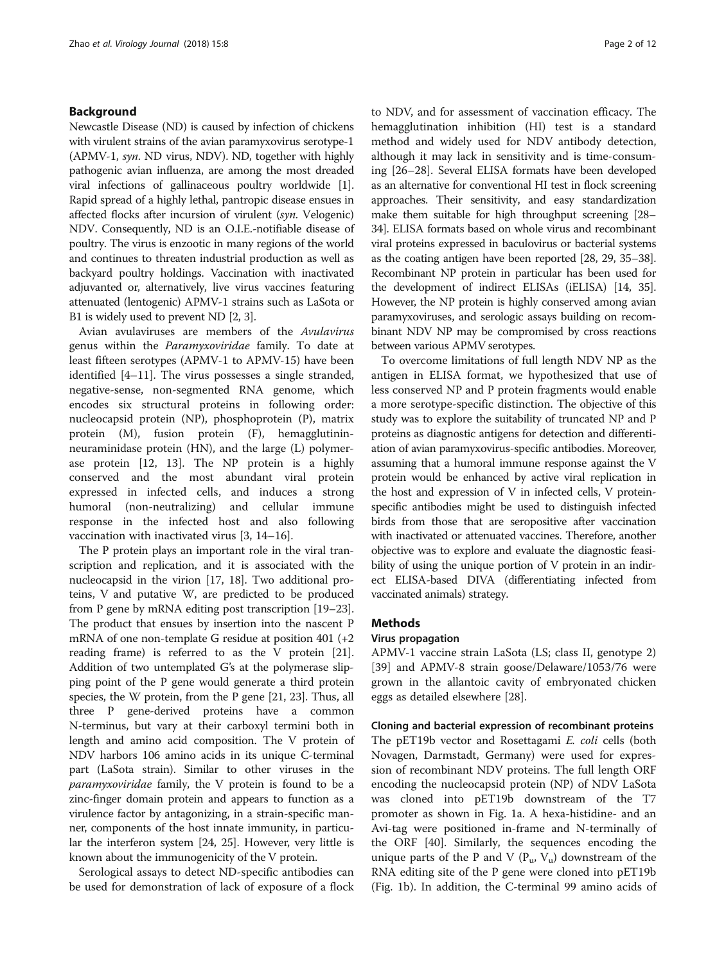#### Background

Newcastle Disease (ND) is caused by infection of chickens with virulent strains of the avian paramyxovirus serotype-1 (APMV-1, syn. ND virus, NDV). ND, together with highly pathogenic avian influenza, are among the most dreaded viral infections of gallinaceous poultry worldwide [[1](#page-10-0)]. Rapid spread of a highly lethal, pantropic disease ensues in affected flocks after incursion of virulent (syn. Velogenic) NDV. Consequently, ND is an O.I.E.-notifiable disease of poultry. The virus is enzootic in many regions of the world and continues to threaten industrial production as well as backyard poultry holdings. Vaccination with inactivated adjuvanted or, alternatively, live virus vaccines featuring attenuated (lentogenic) APMV-1 strains such as LaSota or B1 is widely used to prevent ND [[2, 3](#page-10-0)].

Avian avulaviruses are members of the Avulavirus genus within the Paramyxoviridae family. To date at least fifteen serotypes (APMV-1 to APMV-15) have been identified [\[4](#page-10-0)–[11\]](#page-10-0). The virus possesses a single stranded, negative-sense, non-segmented RNA genome, which encodes six structural proteins in following order: nucleocapsid protein (NP), phosphoprotein (P), matrix protein (M), fusion protein (F), hemagglutininneuraminidase protein (HN), and the large (L) polymerase protein [[12, 13](#page-10-0)]. The NP protein is a highly conserved and the most abundant viral protein expressed in infected cells, and induces a strong humoral (non-neutralizing) and cellular immune response in the infected host and also following vaccination with inactivated virus [[3, 14](#page-10-0)–[16](#page-10-0)].

The P protein plays an important role in the viral transcription and replication, and it is associated with the nucleocapsid in the virion [\[17, 18\]](#page-10-0). Two additional proteins, V and putative W, are predicted to be produced from P gene by mRNA editing post transcription [\[19](#page-10-0)–[23](#page-10-0)]. The product that ensues by insertion into the nascent P mRNA of one non-template G residue at position 401 (+2 reading frame) is referred to as the V protein [[21](#page-10-0)]. Addition of two untemplated G's at the polymerase slipping point of the P gene would generate a third protein species, the W protein, from the P gene [\[21, 23](#page-10-0)]. Thus, all three P gene-derived proteins have a common N-terminus, but vary at their carboxyl termini both in length and amino acid composition. The V protein of NDV harbors 106 amino acids in its unique C-terminal part (LaSota strain). Similar to other viruses in the paramyxoviridae family, the V protein is found to be a zinc-finger domain protein and appears to function as a virulence factor by antagonizing, in a strain-specific manner, components of the host innate immunity, in particular the interferon system [[24, 25](#page-10-0)]. However, very little is known about the immunogenicity of the V protein.

Serological assays to detect ND-specific antibodies can be used for demonstration of lack of exposure of a flock to NDV, and for assessment of vaccination efficacy. The hemagglutination inhibition (HI) test is a standard method and widely used for NDV antibody detection, although it may lack in sensitivity and is time-consuming [[26](#page-10-0)–[28](#page-10-0)]. Several ELISA formats have been developed as an alternative for conventional HI test in flock screening approaches. Their sensitivity, and easy standardization make them suitable for high throughput screening [\[28](#page-10-0)– [34](#page-10-0)]. ELISA formats based on whole virus and recombinant viral proteins expressed in baculovirus or bacterial systems as the coating antigen have been reported [\[28, 29](#page-10-0), [35](#page-10-0)–[38](#page-11-0)]. Recombinant NP protein in particular has been used for the development of indirect ELISAs (iELISA) [[14](#page-10-0), [35](#page-10-0)]. However, the NP protein is highly conserved among avian paramyxoviruses, and serologic assays building on recombinant NDV NP may be compromised by cross reactions between various APMV serotypes.

To overcome limitations of full length NDV NP as the antigen in ELISA format, we hypothesized that use of less conserved NP and P protein fragments would enable a more serotype-specific distinction. The objective of this study was to explore the suitability of truncated NP and P proteins as diagnostic antigens for detection and differentiation of avian paramyxovirus-specific antibodies. Moreover, assuming that a humoral immune response against the V protein would be enhanced by active viral replication in the host and expression of V in infected cells, V proteinspecific antibodies might be used to distinguish infected birds from those that are seropositive after vaccination with inactivated or attenuated vaccines. Therefore, another objective was to explore and evaluate the diagnostic feasibility of using the unique portion of V protein in an indirect ELISA-based DIVA (differentiating infected from vaccinated animals) strategy.

#### **Methods**

#### Virus propagation

APMV-1 vaccine strain LaSota (LS; class II, genotype 2) [[39\]](#page-11-0) and APMV-8 strain goose/Delaware/1053/76 were grown in the allantoic cavity of embryonated chicken eggs as detailed elsewhere [\[28](#page-10-0)].

Cloning and bacterial expression of recombinant proteins The pET19b vector and Rosettagami E. coli cells (both Novagen, Darmstadt, Germany) were used for expression of recombinant NDV proteins. The full length ORF encoding the nucleocapsid protein (NP) of NDV LaSota was cloned into pET19b downstream of the T7 promoter as shown in Fig. [1a.](#page-2-0) A hexa-histidine- and an Avi-tag were positioned in-frame and N-terminally of the ORF [\[40](#page-11-0)]. Similarly, the sequences encoding the unique parts of the P and V  $(P_u, V_u)$  downstream of the RNA editing site of the P gene were cloned into pET19b (Fig. [1b](#page-2-0)). In addition, the C-terminal 99 amino acids of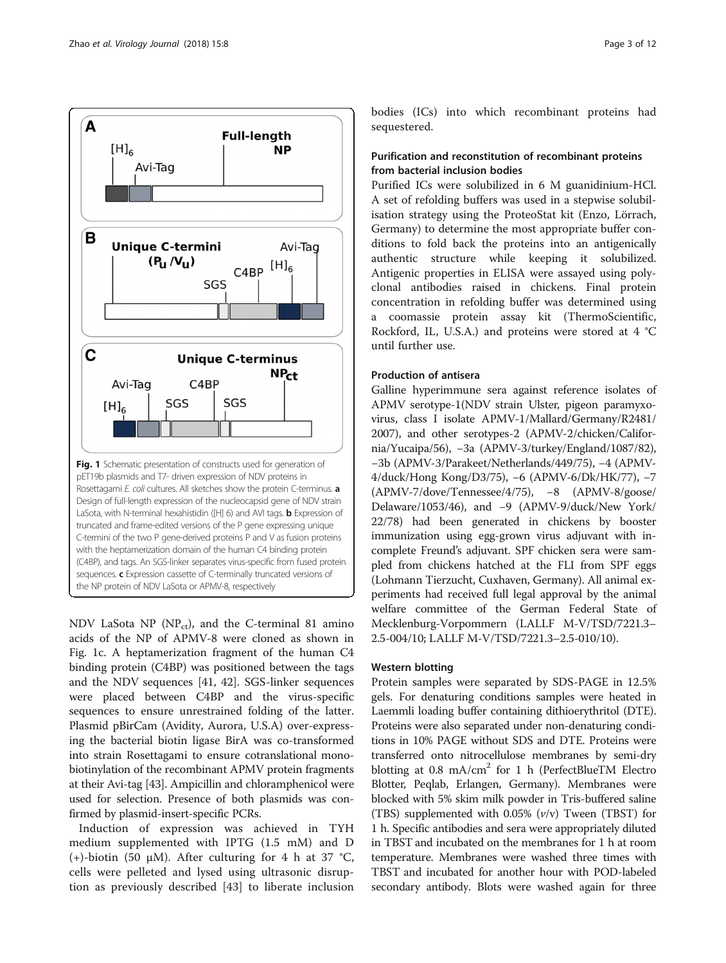<span id="page-2-0"></span>

NDV LaSota NP ( $NP_{ct}$ ), and the C-terminal 81 amino acids of the NP of APMV-8 were cloned as shown in Fig. 1c. A heptamerization fragment of the human C4 binding protein (C4BP) was positioned between the tags and the NDV sequences [[41](#page-11-0), [42](#page-11-0)]. SGS-linker sequences were placed between C4BP and the virus-specific sequences to ensure unrestrained folding of the latter. Plasmid pBirCam (Avidity, Aurora, U.S.A) over-expressing the bacterial biotin ligase BirA was co-transformed into strain Rosettagami to ensure cotranslational monobiotinylation of the recombinant APMV protein fragments at their Avi-tag [\[43\]](#page-11-0). Ampicillin and chloramphenicol were used for selection. Presence of both plasmids was confirmed by plasmid-insert-specific PCRs.

Induction of expression was achieved in TYH medium supplemented with IPTG (1.5 mM) and D (+)-biotin (50  $\mu$ M). After culturing for 4 h at 37 °C, cells were pelleted and lysed using ultrasonic disruption as previously described [[43\]](#page-11-0) to liberate inclusion bodies (ICs) into which recombinant proteins had sequestered.

#### Purification and reconstitution of recombinant proteins from bacterial inclusion bodies

Purified ICs were solubilized in 6 M guanidinium-HCl. A set of refolding buffers was used in a stepwise solubilisation strategy using the ProteoStat kit (Enzo, Lörrach, Germany) to determine the most appropriate buffer conditions to fold back the proteins into an antigenically authentic structure while keeping it solubilized. Antigenic properties in ELISA were assayed using polyclonal antibodies raised in chickens. Final protein concentration in refolding buffer was determined using a coomassie protein assay kit (ThermoScientific, Rockford, IL, U.S.A.) and proteins were stored at 4 °C until further use.

#### Production of antisera

Galline hyperimmune sera against reference isolates of APMV serotype-1(NDV strain Ulster, pigeon paramyxovirus, class I isolate APMV-1/Mallard/Germany/R2481/ 2007), and other serotypes-2 (APMV-2/chicken/California/Yucaipa/56), −3a (APMV-3/turkey/England/1087/82), −3b (APMV-3/Parakeet/Netherlands/449/75), −4 (APMV-4/duck/Hong Kong/D3/75), −6 (APMV-6/Dk/HK/77), −7 (APMV-7/dove/Tennessee/4/75), −8 (APMV-8/goose/ Delaware/1053/46), and −9 (APMV-9/duck/New York/ 22/78) had been generated in chickens by booster immunization using egg-grown virus adjuvant with incomplete Freund's adjuvant. SPF chicken sera were sampled from chickens hatched at the FLI from SPF eggs (Lohmann Tierzucht, Cuxhaven, Germany). All animal experiments had received full legal approval by the animal welfare committee of the German Federal State of Mecklenburg-Vorpommern (LALLF M-V/TSD/7221.3– 2.5-004/10; LALLF M-V/TSD/7221.3–2.5-010/10).

#### Western blotting

Protein samples were separated by SDS-PAGE in 12.5% gels. For denaturing conditions samples were heated in Laemmli loading buffer containing dithioerythritol (DTE). Proteins were also separated under non-denaturing conditions in 10% PAGE without SDS and DTE. Proteins were transferred onto nitrocellulose membranes by semi-dry blotting at 0.8 mA/cm<sup>2</sup> for 1 h (PerfectBlueTM Electro Blotter, Peqlab, Erlangen, Germany). Membranes were blocked with 5% skim milk powder in Tris-buffered saline (TBS) supplemented with  $0.05\%$  ( $v/v$ ) Tween (TBST) for 1 h. Specific antibodies and sera were appropriately diluted in TBST and incubated on the membranes for 1 h at room temperature. Membranes were washed three times with TBST and incubated for another hour with POD-labeled secondary antibody. Blots were washed again for three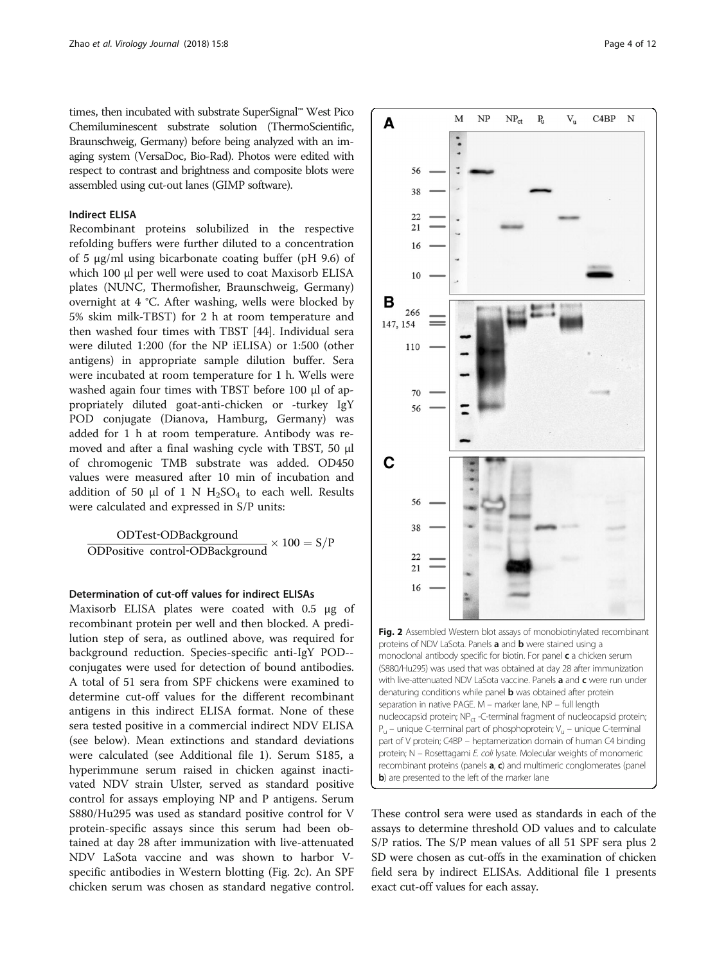<span id="page-3-0"></span>times, then incubated with substrate SuperSignal™ West Pico Chemiluminescent substrate solution (ThermoScientific, Braunschweig, Germany) before being analyzed with an imaging system (VersaDoc, Bio-Rad). Photos were edited with respect to contrast and brightness and composite blots were assembled using cut-out lanes (GIMP software).

#### Indirect ELISA

Recombinant proteins solubilized in the respective refolding buffers were further diluted to a concentration of 5 μg/ml using bicarbonate coating buffer (pH 9.6) of which 100 μl per well were used to coat Maxisorb ELISA plates (NUNC, Thermofisher, Braunschweig, Germany) overnight at 4 °C. After washing, wells were blocked by 5% skim milk-TBST) for 2 h at room temperature and then washed four times with TBST [[44\]](#page-11-0). Individual sera were diluted 1:200 (for the NP iELISA) or 1:500 (other antigens) in appropriate sample dilution buffer. Sera were incubated at room temperature for 1 h. Wells were washed again four times with TBST before 100 μl of appropriately diluted goat-anti-chicken or -turkey IgY POD conjugate (Dianova, Hamburg, Germany) was added for 1 h at room temperature. Antibody was removed and after a final washing cycle with TBST, 50 μl of chromogenic TMB substrate was added. OD450 values were measured after 10 min of incubation and addition of 50 μl of 1 N  $H_2SO_4$  to each well. Results were calculated and expressed in S/P units:

$$
\frac{\text{ODTest-ODBackground}}{\text{ODPositive control-ODBackground}} \times 100 = S/P
$$

#### Determination of cut-off values for indirect ELISAs

Maxisorb ELISA plates were coated with 0.5 μg of recombinant protein per well and then blocked. A predilution step of sera, as outlined above, was required for background reduction. Species-specific anti-IgY POD- conjugates were used for detection of bound antibodies. A total of 51 sera from SPF chickens were examined to determine cut-off values for the different recombinant antigens in this indirect ELISA format. None of these sera tested positive in a commercial indirect NDV ELISA (see below). Mean extinctions and standard deviations were calculated (see Additional file [1\)](#page-9-0). Serum S185, a hyperimmune serum raised in chicken against inactivated NDV strain Ulster, served as standard positive control for assays employing NP and P antigens. Serum S880/Hu295 was used as standard positive control for V protein-specific assays since this serum had been obtained at day 28 after immunization with live-attenuated NDV LaSota vaccine and was shown to harbor Vspecific antibodies in Western blotting (Fig. 2c). An SPF chicken serum was chosen as standard negative control.



These control sera were used as standards in each of the assays to determine threshold OD values and to calculate S/P ratios. The S/P mean values of all 51 SPF sera plus 2 SD were chosen as cut-offs in the examination of chicken field sera by indirect ELISAs. Additional file [1](#page-9-0) presents exact cut-off values for each assay.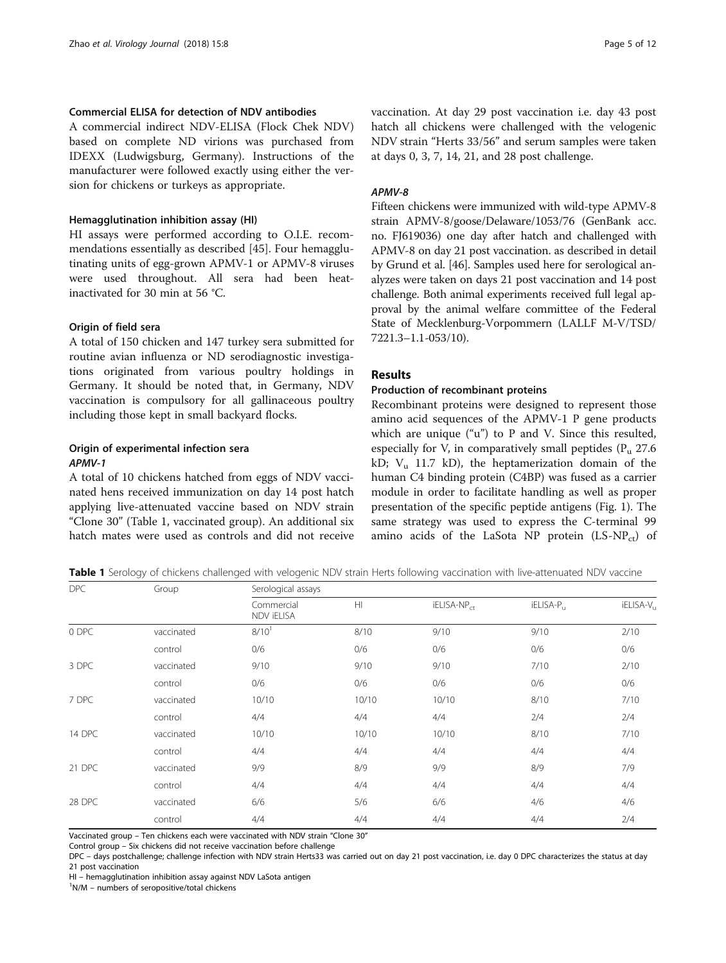#### <span id="page-4-0"></span>Commercial ELISA for detection of NDV antibodies

A commercial indirect NDV-ELISA (Flock Chek NDV) based on complete ND virions was purchased from IDEXX (Ludwigsburg, Germany). Instructions of the manufacturer were followed exactly using either the version for chickens or turkeys as appropriate.

#### Hemagglutination inhibition assay (HI)

HI assays were performed according to O.I.E. recommendations essentially as described [\[45](#page-11-0)]. Four hemagglutinating units of egg-grown APMV-1 or APMV-8 viruses were used throughout. All sera had been heatinactivated for 30 min at 56 °C.

#### Origin of field sera

A total of 150 chicken and 147 turkey sera submitted for routine avian influenza or ND serodiagnostic investigations originated from various poultry holdings in Germany. It should be noted that, in Germany, NDV vaccination is compulsory for all gallinaceous poultry including those kept in small backyard flocks.

#### Origin of experimental infection sera APMV-1

A total of 10 chickens hatched from eggs of NDV vaccinated hens received immunization on day 14 post hatch applying live-attenuated vaccine based on NDV strain "Clone 30" (Table 1, vaccinated group). An additional six hatch mates were used as controls and did not receive vaccination. At day 29 post vaccination i.e. day 43 post hatch all chickens were challenged with the velogenic NDV strain "Herts 33/56" and serum samples were taken at days 0, 3, 7, 14, 21, and 28 post challenge.

#### APMV-8

Fifteen chickens were immunized with wild-type APMV-8 strain APMV-8/goose/Delaware/1053/76 (GenBank acc. no. FJ619036) one day after hatch and challenged with APMV-8 on day 21 post vaccination. as described in detail by Grund et al. [\[46\]](#page-11-0). Samples used here for serological analyzes were taken on days 21 post vaccination and 14 post challenge. Both animal experiments received full legal approval by the animal welfare committee of the Federal State of Mecklenburg-Vorpommern (LALLF M-V/TSD/ 7221.3–1.1-053/10).

#### Results

#### Production of recombinant proteins

Recombinant proteins were designed to represent those amino acid sequences of the APMV-1 P gene products which are unique ("u") to P and V. Since this resulted, especially for V, in comparatively small peptides  $(P_n 27.6$ kD;  $V_u$  11.7 kD), the heptamerization domain of the human C4 binding protein (C4BP) was fused as a carrier module in order to facilitate handling as well as proper presentation of the specific peptide antigens (Fig. [1](#page-2-0)). The same strategy was used to express the C-terminal 99 amino acids of the LaSota NP protein  $(LS-NP_{ct})$  of

Table 1 Serology of chickens challenged with velogenic NDV strain Herts following vaccination with live-attenuated NDV vaccine

| <b>DPC</b> | Group      | Serological assays       |       |                         |           |                       |  |
|------------|------------|--------------------------|-------|-------------------------|-----------|-----------------------|--|
|            |            | Commercial<br>NDV iELISA | H     | iELISA-NP <sub>ct</sub> | iELISA-P. | iELISA-V <sub>u</sub> |  |
| 0 DPC      | vaccinated | $8/10^{1}$               | 8/10  | 9/10                    | 9/10      | 2/10                  |  |
|            | control    | 0/6                      | 0/6   | 0/6                     | 0/6       | 0/6                   |  |
| 3 DPC      | vaccinated | 9/10                     | 9/10  | 9/10                    | 7/10      | 2/10                  |  |
|            | control    | 0/6                      | 0/6   | 0/6                     | 0/6       | 0/6                   |  |
| 7 DPC      | vaccinated | 10/10                    | 10/10 | 10/10                   | 8/10      | 7/10                  |  |
|            | control    | 4/4                      | 4/4   | 4/4                     | 2/4       | 2/4                   |  |
| 14 DPC     | vaccinated | 10/10                    | 10/10 | 10/10                   | 8/10      | 7/10                  |  |
|            | control    | 4/4                      | 4/4   | 4/4                     | 4/4       | 4/4                   |  |
| 21 DPC     | vaccinated | 9/9                      | 8/9   | 9/9                     | 8/9       | 7/9                   |  |
|            | control    | 4/4                      | 4/4   | 4/4                     | 4/4       | 4/4                   |  |
| 28 DPC     | vaccinated | 6/6                      | 5/6   | 6/6                     | 4/6       | 4/6                   |  |
|            | control    | 4/4                      | 4/4   | 4/4                     | 4/4       | 2/4                   |  |

Vaccinated group – Ten chickens each were vaccinated with NDV strain "Clone 30"

Control group – Six chickens did not receive vaccination before challenge

DPC – days postchallenge; challenge infection with NDV strain Herts33 was carried out on day 21 post vaccination, i.e. day 0 DPC characterizes the status at day 21 post vaccination

HI – hemagglutination inhibition assay against NDV LaSota antigen <sup>1</sup>

N/M – numbers of seropositive/total chickens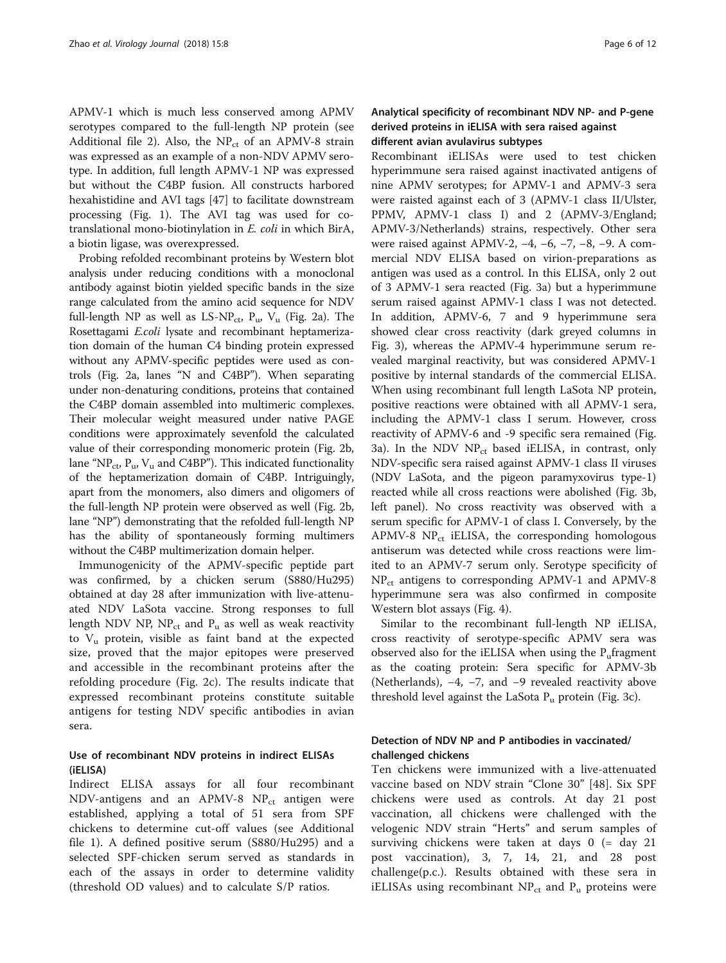APMV-1 which is much less conserved among APMV serotypes compared to the full-length NP protein (see Additional file [2\)](#page-9-0). Also, the  $NP<sub>ct</sub>$  of an APMV-8 strain was expressed as an example of a non-NDV APMV serotype. In addition, full length APMV-1 NP was expressed but without the C4BP fusion. All constructs harbored hexahistidine and AVI tags [[47](#page-11-0)] to facilitate downstream processing (Fig. [1\)](#page-2-0). The AVI tag was used for cotranslational mono-biotinylation in E. coli in which BirA, a biotin ligase, was overexpressed.

Probing refolded recombinant proteins by Western blot analysis under reducing conditions with a monoclonal antibody against biotin yielded specific bands in the size range calculated from the amino acid sequence for NDV full-length NP as well as  $LS-NP_{ct}$ ,  $P_{uv}$ ,  $V_{u}$  (Fig. [2a](#page-3-0)). The Rosettagami E.coli lysate and recombinant heptamerization domain of the human C4 binding protein expressed without any APMV-specific peptides were used as controls (Fig. [2a](#page-3-0), lanes "N and C4BP"). When separating under non-denaturing conditions, proteins that contained the C4BP domain assembled into multimeric complexes. Their molecular weight measured under native PAGE conditions were approximately sevenfold the calculated value of their corresponding monomeric protein (Fig. [2b](#page-3-0), lane "NP<sub>ct</sub>, P<sub>u</sub>, V<sub>u</sub> and C4BP"). This indicated functionality of the heptamerization domain of C4BP. Intriguingly, apart from the monomers, also dimers and oligomers of the full-length NP protein were observed as well (Fig. [2b](#page-3-0), lane "NP") demonstrating that the refolded full-length NP has the ability of spontaneously forming multimers without the C4BP multimerization domain helper.

Immunogenicity of the APMV-specific peptide part was confirmed, by a chicken serum (S880/Hu295) obtained at day 28 after immunization with live-attenuated NDV LaSota vaccine. Strong responses to full length NDV NP,  $NP_{ct}$  and  $P_u$  as well as weak reactivity to  $V_{\mu}$  protein, visible as faint band at the expected size, proved that the major epitopes were preserved and accessible in the recombinant proteins after the refolding procedure (Fig. [2c\)](#page-3-0). The results indicate that expressed recombinant proteins constitute suitable antigens for testing NDV specific antibodies in avian sera.

#### Use of recombinant NDV proteins in indirect ELISAs (iELISA)

Indirect ELISA assays for all four recombinant NDV-antigens and an APMV-8  $NP_{ct}$  antigen were established, applying a total of 51 sera from SPF chickens to determine cut-off values (see Additional file [1](#page-9-0)). A defined positive serum (S880/Hu295) and a selected SPF-chicken serum served as standards in each of the assays in order to determine validity (threshold OD values) and to calculate S/P ratios.

#### Analytical specificity of recombinant NDV NP- and P-gene derived proteins in iELISA with sera raised against different avian avulavirus subtypes

Recombinant iELISAs were used to test chicken hyperimmune sera raised against inactivated antigens of nine APMV serotypes; for APMV-1 and APMV-3 sera were raisted against each of 3 (APMV-1 class II/Ulster, PPMV, APMV-1 class I) and 2 (APMV-3/England; APMV-3/Netherlands) strains, respectively. Other sera were raised against APMV-2, −4, −6, −7, −8, −9. A commercial NDV ELISA based on virion-preparations as antigen was used as a control. In this ELISA, only 2 out of 3 APMV-1 sera reacted (Fig. [3a](#page-6-0)) but a hyperimmune serum raised against APMV-1 class I was not detected. In addition, APMV-6, 7 and 9 hyperimmune sera showed clear cross reactivity (dark greyed columns in Fig. [3\)](#page-6-0), whereas the APMV-4 hyperimmune serum revealed marginal reactivity, but was considered APMV-1 positive by internal standards of the commercial ELISA. When using recombinant full length LaSota NP protein, positive reactions were obtained with all APMV-1 sera, including the APMV-1 class I serum. However, cross reactivity of APMV-6 and -9 specific sera remained (Fig. [3a](#page-6-0)). In the NDV  $NP_{ct}$  based iELISA, in contrast, only NDV-specific sera raised against APMV-1 class II viruses (NDV LaSota, and the pigeon paramyxovirus type-1) reacted while all cross reactions were abolished (Fig. [3b](#page-6-0), left panel). No cross reactivity was observed with a serum specific for APMV-1 of class I. Conversely, by the APMV-8  $NP_{ct}$  iELISA, the corresponding homologous antiserum was detected while cross reactions were limited to an APMV-7 serum only. Serotype specificity of  $NP<sub>ct</sub>$  antigens to corresponding APMV-1 and APMV-8 hyperimmune sera was also confirmed in composite Western blot assays (Fig. [4](#page-7-0)).

Similar to the recombinant full-length NP iELISA, cross reactivity of serotype-specific APMV sera was observed also for the iELISA when using the  $P<sub>u</sub>$  fragment as the coating protein: Sera specific for APMV-3b (Netherlands), −4, −7, and −9 revealed reactivity above threshold level against the LaSota  $P_u$  protein (Fig. [3c](#page-6-0)).

#### Detection of NDV NP and P antibodies in vaccinated/ challenged chickens

Ten chickens were immunized with a live-attenuated vaccine based on NDV strain "Clone 30" [[48\]](#page-11-0). Six SPF chickens were used as controls. At day 21 post vaccination, all chickens were challenged with the velogenic NDV strain "Herts" and serum samples of surviving chickens were taken at days 0 (= day 21 post vaccination), 3, 7, 14, 21, and 28 post challenge(p.c.). Results obtained with these sera in iELISAs using recombinant  $NP_{ct}$  and  $P_{u}$  proteins were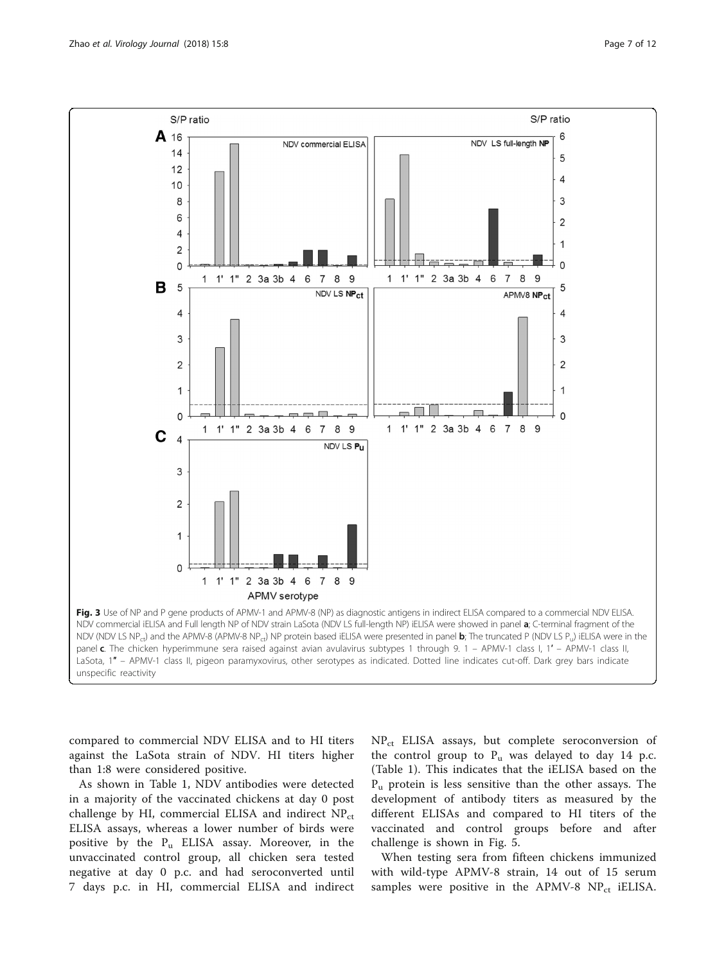<span id="page-6-0"></span>

compared to commercial NDV ELISA and to HI titers against the LaSota strain of NDV. HI titers higher than 1:8 were considered positive.

As shown in Table [1](#page-4-0), NDV antibodies were detected in a majority of the vaccinated chickens at day 0 post challenge by HI, commercial ELISA and indirect  $NP_{ct}$ ELISA assays, whereas a lower number of birds were positive by the  $P_u$  ELISA assay. Moreover, in the unvaccinated control group, all chicken sera tested negative at day 0 p.c. and had seroconverted until 7 days p.c. in HI, commercial ELISA and indirect NP<sub>ct</sub> ELISA assays, but complete seroconversion of the control group to  $P_u$  was delayed to day 14 p.c. (Table [1\)](#page-4-0). This indicates that the iELISA based on the  $P_u$  protein is less sensitive than the other assays. The development of antibody titers as measured by the different ELISAs and compared to HI titers of the vaccinated and control groups before and after challenge is shown in Fig. [5.](#page-7-0)

When testing sera from fifteen chickens immunized with wild-type APMV-8 strain, 14 out of 15 serum samples were positive in the APMV-8  $NP_{ct}$  iELISA.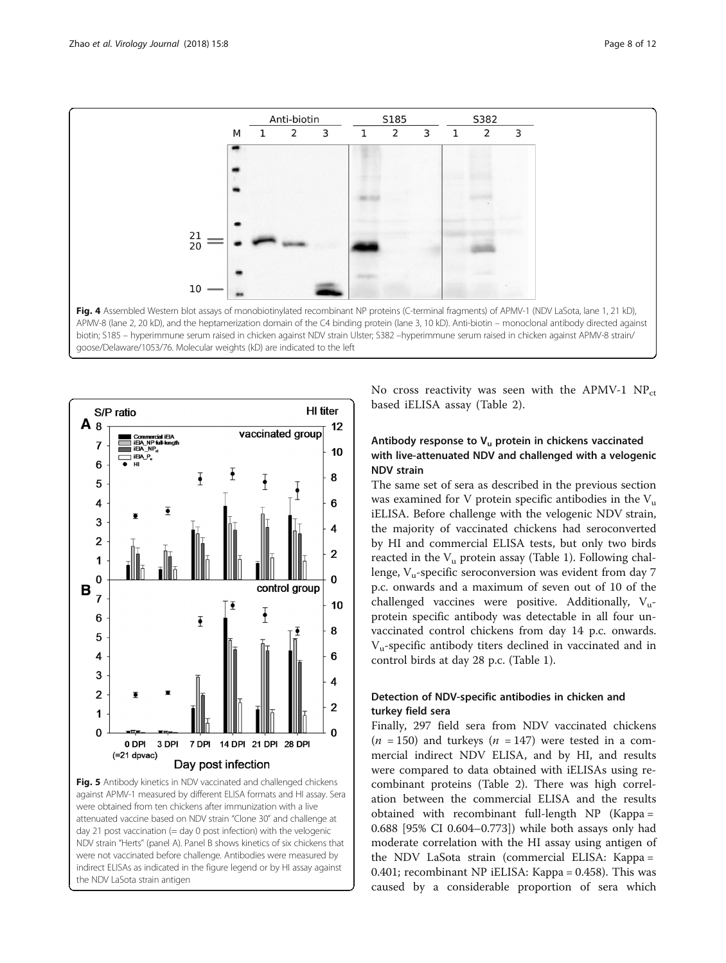<span id="page-7-0"></span>



Fig. 5 Antibody kinetics in NDV vaccinated and challenged chickens against APMV-1 measured by different ELISA formats and HI assay. Sera were obtained from ten chickens after immunization with a live attenuated vaccine based on NDV strain "Clone 30" and challenge at day 21 post vaccination (= day 0 post infection) with the velogenic NDV strain "Herts" (panel A). Panel B shows kinetics of six chickens that were not vaccinated before challenge. Antibodies were measured by indirect ELISAs as indicated in the figure legend or by HI assay against the NDV LaSota strain antigen

No cross reactivity was seen with the APMV-1  $NP_{ct}$ based iELISA assay (Table [2](#page-8-0)).

#### Antibody response to  $V_u$  protein in chickens vaccinated with live-attenuated NDV and challenged with a velogenic NDV strain

The same set of sera as described in the previous section was examined for V protein specific antibodies in the  $V_{\text{u}}$ iELISA. Before challenge with the velogenic NDV strain, the majority of vaccinated chickens had seroconverted by HI and commercial ELISA tests, but only two birds reacted in the  $V_u$  protein assay (Table [1](#page-4-0)). Following challenge,  $V<sub>u</sub>$ -specific seroconversion was evident from day 7 p.c. onwards and a maximum of seven out of 10 of the challenged vaccines were positive. Additionally,  $V_{\text{u}}$ protein specific antibody was detectable in all four unvaccinated control chickens from day 14 p.c. onwards.  $V<sub>u</sub>$ -specific antibody titers declined in vaccinated and in control birds at day 28 p.c. (Table [1\)](#page-4-0).

#### Detection of NDV-specific antibodies in chicken and turkey field sera

Finally, 297 field sera from NDV vaccinated chickens  $(n = 150)$  and turkeys  $(n = 147)$  were tested in a commercial indirect NDV ELISA, and by HI, and results were compared to data obtained with iELISAs using recombinant proteins (Table [2\)](#page-8-0). There was high correlation between the commercial ELISA and the results obtained with recombinant full-length NP (Kappa = 0.688 [95% CI 0.604–0.773]) while both assays only had moderate correlation with the HI assay using antigen of the NDV LaSota strain (commercial ELISA: Kappa = 0.401; recombinant NP iELISA: Kappa = 0.458). This was caused by a considerable proportion of sera which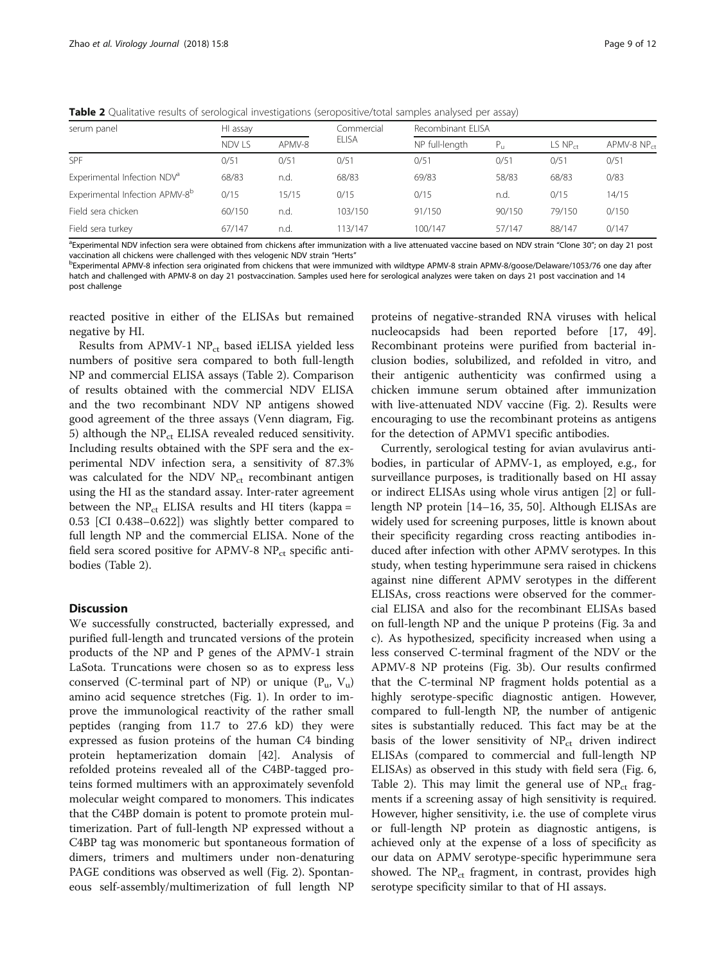<span id="page-8-0"></span>Table 2 Qualitative results of serological investigations (seropositive/total samples analysed per assay)

| serum panel                                | HI assay |        | Commercial   | Recombinant ELISA |              |              |               |
|--------------------------------------------|----------|--------|--------------|-------------------|--------------|--------------|---------------|
|                                            | NDV LS   | APMV-8 | <b>ELISA</b> | NP full-length    | $P_{\rm tr}$ | $LS NP_{ct}$ | APMV-8 $NPct$ |
| <b>SPF</b>                                 | 0/51     | 0/51   | 0/51         | 0/51              | 0/51         | 0/51         | 0/51          |
| Experimental Infection NDV <sup>a</sup>    | 68/83    | n.d.   | 68/83        | 69/83             | 58/83        | 68/83        | 0/83          |
| Experimental Infection APMV-8 <sup>b</sup> | 0/15     | 15/15  | 0/15         | 0/15              | n.d.         | 0/15         | 14/15         |
| Field sera chicken                         | 60/150   | n.d.   | 103/150      | 91/150            | 90/150       | 79/150       | 0/150         |
| Field sera turkey                          | 67/147   | n.d.   | 113/147      | 100/147           | 57/147       | 88/147       | 0/147         |

<sup>a</sup>Experimental NDV infection sera were obtained from chickens after immunization with a live attenuated vaccine based on NDV strain "Clone 30"; on day 21 post vaccination all chickens were challenged with thes velogenic NDV strain "Herts"

<sup>b</sup>Experimental APMV-8 infection sera originated from chickens that were immunized with wildtype APMV-8 strain APMV-8/goose/Delaware/1053/76 one day after hatch and challenged with APMV-8 on day 21 postvaccination. Samples used here for serological analyzes were taken on days 21 post vaccination and 14 post challenge

reacted positive in either of the ELISAs but remained negative by HI.

Results from APMV-1  $NP_{ct}$  based iELISA yielded less numbers of positive sera compared to both full-length NP and commercial ELISA assays (Table 2). Comparison of results obtained with the commercial NDV ELISA and the two recombinant NDV NP antigens showed good agreement of the three assays (Venn diagram, Fig. [5\)](#page-7-0) although the  $NP_{ct}$  ELISA revealed reduced sensitivity. Including results obtained with the SPF sera and the experimental NDV infection sera, a sensitivity of 87.3% was calculated for the NDV  $NP_{ct}$  recombinant antigen using the HI as the standard assay. Inter-rater agreement between the  $NP_{ct}$  ELISA results and HI titers (kappa = 0.53 [CI 0.438–0.622]) was slightly better compared to full length NP and the commercial ELISA. None of the field sera scored positive for APMV-8 NP<sub>ct</sub> specific antibodies (Table 2).

#### **Discussion**

We successfully constructed, bacterially expressed, and purified full-length and truncated versions of the protein products of the NP and P genes of the APMV-1 strain LaSota. Truncations were chosen so as to express less conserved (C-terminal part of NP) or unique  $(P_u, V_u)$ amino acid sequence stretches (Fig. [1](#page-2-0)). In order to improve the immunological reactivity of the rather small peptides (ranging from 11.7 to 27.6 kD) they were expressed as fusion proteins of the human C4 binding protein heptamerization domain [[42\]](#page-11-0). Analysis of refolded proteins revealed all of the C4BP-tagged proteins formed multimers with an approximately sevenfold molecular weight compared to monomers. This indicates that the C4BP domain is potent to promote protein multimerization. Part of full-length NP expressed without a C4BP tag was monomeric but spontaneous formation of dimers, trimers and multimers under non-denaturing PAGE conditions was observed as well (Fig. [2\)](#page-3-0). Spontaneous self-assembly/multimerization of full length NP proteins of negative-stranded RNA viruses with helical nucleocapsids had been reported before [[17,](#page-10-0) [49](#page-11-0)]. Recombinant proteins were purified from bacterial inclusion bodies, solubilized, and refolded in vitro, and their antigenic authenticity was confirmed using a chicken immune serum obtained after immunization with live-attenuated NDV vaccine (Fig. [2\)](#page-3-0). Results were encouraging to use the recombinant proteins as antigens for the detection of APMV1 specific antibodies.

Currently, serological testing for avian avulavirus antibodies, in particular of APMV-1, as employed, e.g., for surveillance purposes, is traditionally based on HI assay or indirect ELISAs using whole virus antigen [\[2\]](#page-10-0) or fulllength NP protein [\[14](#page-10-0)–[16, 35,](#page-10-0) [50](#page-11-0)]. Although ELISAs are widely used for screening purposes, little is known about their specificity regarding cross reacting antibodies induced after infection with other APMV serotypes. In this study, when testing hyperimmune sera raised in chickens against nine different APMV serotypes in the different ELISAs, cross reactions were observed for the commercial ELISA and also for the recombinant ELISAs based on full-length NP and the unique P proteins (Fig. [3a and](#page-6-0) [c](#page-6-0)). As hypothesized, specificity increased when using a less conserved C-terminal fragment of the NDV or the APMV-8 NP proteins (Fig. [3b\)](#page-6-0). Our results confirmed that the C-terminal NP fragment holds potential as a highly serotype-specific diagnostic antigen. However, compared to full-length NP, the number of antigenic sites is substantially reduced. This fact may be at the basis of the lower sensitivity of  $NP_{ct}$  driven indirect ELISAs (compared to commercial and full-length NP ELISAs) as observed in this study with field sera (Fig. [6](#page-9-0), Table 2). This may limit the general use of  $NP_{ct}$  fragments if a screening assay of high sensitivity is required. However, higher sensitivity, i.e. the use of complete virus or full-length NP protein as diagnostic antigens, is achieved only at the expense of a loss of specificity as our data on APMV serotype-specific hyperimmune sera showed. The  $NP_{ct}$  fragment, in contrast, provides high serotype specificity similar to that of HI assays.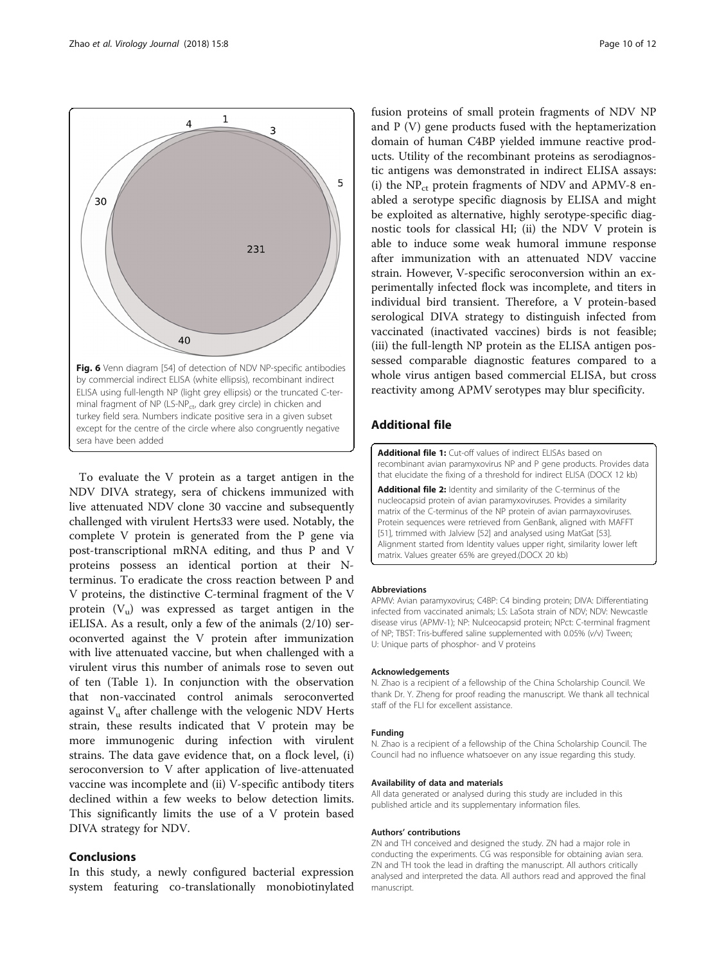<span id="page-9-0"></span>

To evaluate the V protein as a target antigen in the NDV DIVA strategy, sera of chickens immunized with live attenuated NDV clone 30 vaccine and subsequently challenged with virulent Herts33 were used. Notably, the complete V protein is generated from the P gene via post-transcriptional mRNA editing, and thus P and V proteins possess an identical portion at their Nterminus. To eradicate the cross reaction between P and V proteins, the distinctive C-terminal fragment of the V protein  $(V_u)$  was expressed as target antigen in the iELISA. As a result, only a few of the animals (2/10) seroconverted against the V protein after immunization with live attenuated vaccine, but when challenged with a virulent virus this number of animals rose to seven out of ten (Table [1](#page-4-0)). In conjunction with the observation that non-vaccinated control animals seroconverted against  $V_{\mu}$  after challenge with the velogenic NDV Herts strain, these results indicated that V protein may be more immunogenic during infection with virulent strains. The data gave evidence that, on a flock level, (i) seroconversion to V after application of live-attenuated vaccine was incomplete and (ii) V-specific antibody titers declined within a few weeks to below detection limits. This significantly limits the use of a V protein based DIVA strategy for NDV.

#### Conclusions

In this study, a newly configured bacterial expression system featuring co-translationally monobiotinylated

fusion proteins of small protein fragments of NDV NP and P (V) gene products fused with the heptamerization domain of human C4BP yielded immune reactive products. Utility of the recombinant proteins as serodiagnostic antigens was demonstrated in indirect ELISA assays: (i) the  $NP_{ct}$  protein fragments of NDV and APMV-8 enabled a serotype specific diagnosis by ELISA and might be exploited as alternative, highly serotype-specific diagnostic tools for classical HI; (ii) the NDV V protein is able to induce some weak humoral immune response after immunization with an attenuated NDV vaccine strain. However, V-specific seroconversion within an experimentally infected flock was incomplete, and titers in individual bird transient. Therefore, a V protein-based serological DIVA strategy to distinguish infected from vaccinated (inactivated vaccines) birds is not feasible; (iii) the full-length NP protein as the ELISA antigen possessed comparable diagnostic features compared to a whole virus antigen based commercial ELISA, but cross reactivity among APMV serotypes may blur specificity.

#### Additional file

[Additional file 1:](dx.doi.org/10.1186/s12985-018-0924-8) Cut-off values of indirect ELISAs based on recombinant avian paramyxovirus NP and P gene products. Provides data that elucidate the fixing of a threshold for indirect ELISA (DOCX 12 kb)

[Additional file 2:](dx.doi.org/10.1186/s12985-018-0924-8) Identity and similarity of the C-terminus of the nucleocapsid protein of avian paramyxoviruses. Provides a similarity matrix of the C-terminus of the NP protein of avian parmayxoviruses. Protein sequences were retrieved from GenBank, aligned with MAFFT [[51](#page-11-0)], trimmed with Jalview [[52](#page-11-0)] and analysed using MatGat [\[53\]](#page-11-0). Alignment started from Identity values upper right, similarity lower left matrix. Values greater 65% are greyed.(DOCX 20 kb)

#### Abbreviations

APMV: Avian paramyxovirus; C4BP: C4 binding protein; DIVA: Differentiating infected from vaccinated animals; LS: LaSota strain of NDV; NDV: Newcastle disease virus (APMV-1); NP: Nulceocapsid protein; NPct: C-terminal fragment of NP; TBST: Tris-buffered saline supplemented with 0.05% (v/v) Tween; U: Unique parts of phosphor- and V proteins

#### Acknowledgements

N. Zhao is a recipient of a fellowship of the China Scholarship Council. We thank Dr. Y. Zheng for proof reading the manuscript. We thank all technical staff of the FLI for excellent assistance.

#### Funding

N. Zhao is a recipient of a fellowship of the China Scholarship Council. The Council had no influence whatsoever on any issue regarding this study.

#### Availability of data and materials

All data generated or analysed during this study are included in this published article and its supplementary information files.

#### Authors' contributions

ZN and TH conceived and designed the study. ZN had a major role in conducting the experiments. CG was responsible for obtaining avian sera. ZN and TH took the lead in drafting the manuscript. All authors critically analysed and interpreted the data. All authors read and approved the final manuscript.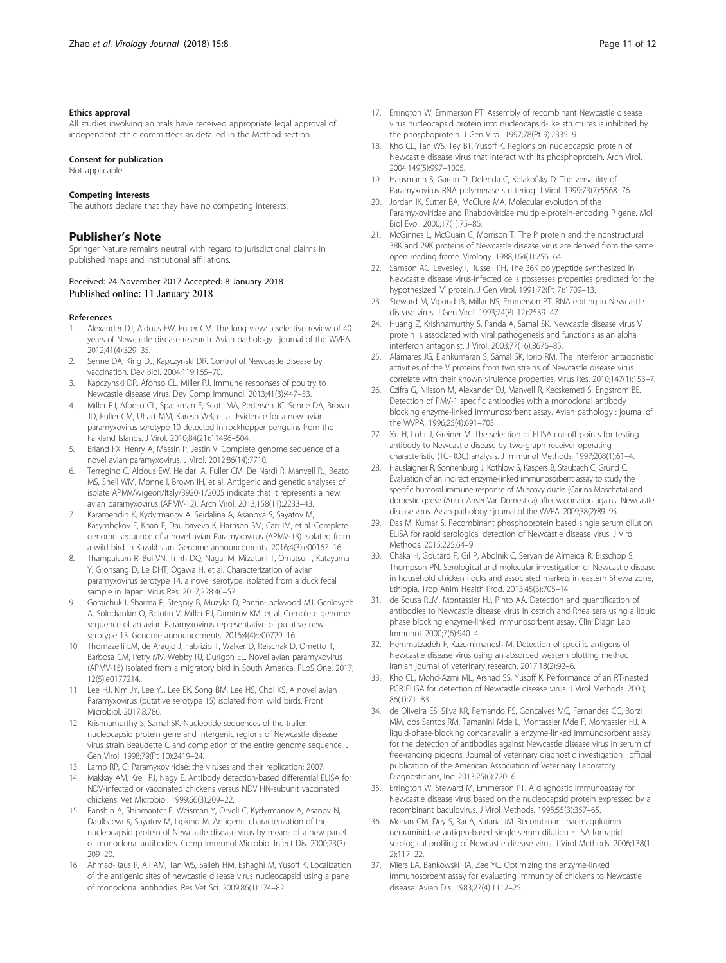#### <span id="page-10-0"></span>Ethics approval

All studies involving animals have received appropriate legal approval of independent ethic committees as detailed in the Method section.

#### Consent for publication

Not applicable.

#### Competing interests

The authors declare that they have no competing interests.

#### Publisher's Note

Springer Nature remains neutral with regard to jurisdictional claims in published maps and institutional affiliations.

# Received: 24 November 2017 Accepted: 8 January 2018

#### References

- 1. Alexander DJ, Aldous EW, Fuller CM. The long view: a selective review of 40 years of Newcastle disease research. Avian pathology : journal of the WVPA. 2012;41(4):329–35.
- 2. Senne DA, King DJ, Kapczynski DR. Control of Newcastle disease by vaccination. Dev Biol. 2004;119:165–70.
- 3. Kapczynski DR, Afonso CL, Miller PJ. Immune responses of poultry to Newcastle disease virus. Dev Comp Immunol. 2013;41(3):447–53.
- 4. Miller PJ, Afonso CL, Spackman E, Scott MA, Pedersen JC, Senne DA, Brown JD, Fuller CM, Uhart MM, Karesh WB, et al. Evidence for a new avian paramyxovirus serotype 10 detected in rockhopper penguins from the Falkland Islands. J Virol. 2010;84(21):11496–504.
- 5. Briand FX, Henry A, Massin P, Jestin V. Complete genome sequence of a novel avian paramyxovirus. J Virol. 2012;86(14):7710.
- 6. Terregino C, Aldous EW, Heidari A, Fuller CM, De Nardi R, Manvell RJ, Beato MS, Shell WM, Monne I, Brown IH, et al. Antigenic and genetic analyses of isolate APMV/wigeon/Italy/3920-1/2005 indicate that it represents a new avian paramyxovirus (APMV-12). Arch Virol. 2013;158(11):2233–43.
- 7. Karamendin K, Kydyrmanov A, Seidalina A, Asanova S, Sayatov M, Kasymbekov E, Khan E, Daulbayeva K, Harrison SM, Carr IM, et al. Complete genome sequence of a novel avian Paramyxovirus (APMV-13) isolated from a wild bird in Kazakhstan. Genome announcements. 2016;4(3):e00167–16.
- 8. Thampaisarn R, Bui VN, Trinh DQ, Nagai M, Mizutani T, Omatsu T, Katayama Y, Gronsang D, Le DHT, Ogawa H, et al. Characterization of avian paramyxovirus serotype 14, a novel serotype, isolated from a duck fecal sample in Japan. Virus Res. 2017;228:46–57.
- 9. Goraichuk I, Sharma P, Stegniy B, Muzyka D, Pantin-Jackwood MJ, Gerilovych A, Solodiankin O, Bolotin V, Miller PJ, Dimitrov KM, et al. Complete genome sequence of an avian Paramyxovirus representative of putative new serotype 13. Genome announcements. 2016;4(4):e00729–16.
- 10. Thomazelli LM, de Araujo J, Fabrizio T, Walker D, Reischak D, Ometto T, Barbosa CM, Petry MV, Webby RJ, Durigon EL. Novel avian paramyxovirus (APMV-15) isolated from a migratory bird in South America. PLoS One. 2017; 12(5):e0177214.
- 11. Lee HJ, Kim JY, Lee YJ, Lee EK, Song BM, Lee HS, Choi KS. A novel avian Paramyxovirus (putative serotype 15) isolated from wild birds. Front Microbiol. 2017;8:786.
- 12. Krishnamurthy S, Samal SK. Nucleotide sequences of the trailer, nucleocapsid protein gene and intergenic regions of Newcastle disease virus strain Beaudette C and completion of the entire genome sequence. J Gen Virol. 1998;79(Pt 10):2419–24.
- 13. Lamb RP, G: Paramyxoviridae: the viruses and their replication; 2007.
- 14. Makkay AM, Krell PJ, Nagy E. Antibody detection-based differential ELISA for NDV-infected or vaccinated chickens versus NDV HN-subunit vaccinated chickens. Vet Microbiol. 1999;66(3):209–22.
- 15. Panshin A, Shihmanter E, Weisman Y, Orvell C, Kydyrmanov A, Asanov N, Daulbaeva K, Sayatov M, Lipkind M. Antigenic characterization of the nucleocapsid protein of Newcastle disease virus by means of a new panel of monoclonal antibodies. Comp Immunol Microbiol Infect Dis. 2000;23(3): 209–20.
- 16. Ahmad-Raus R, Ali AM, Tan WS, Salleh HM, Eshaghi M, Yusoff K. Localization of the antigenic sites of newcastle disease virus nucleocapsid using a panel of monoclonal antibodies. Res Vet Sci. 2009;86(1):174–82.
- 
- 17. Errington W, Emmerson PT. Assembly of recombinant Newcastle disease virus nucleocapsid protein into nucleocapsid-like structures is inhibited by the phosphoprotein. J Gen Virol. 1997;78(Pt 9):2335–9.
- 18. Kho CL, Tan WS, Tey BT, Yusoff K. Regions on nucleocapsid protein of Newcastle disease virus that interact with its phosphoprotein. Arch Virol. 2004;149(5):997–1005.
- 19. Hausmann S, Garcin D, Delenda C, Kolakofsky D. The versatility of Paramyxovirus RNA polymerase stuttering. J Virol. 1999;73(7):5568–76.
- 20. Jordan IK, Sutter BA, McClure MA. Molecular evolution of the Paramyxoviridae and Rhabdoviridae multiple-protein-encoding P gene. Mol Biol Evol. 2000;17(1):75–86.
- 21. McGinnes L, McQuain C, Morrison T. The P protein and the nonstructural 38K and 29K proteins of Newcastle disease virus are derived from the same open reading frame. Virology. 1988;164(1):256–64.
- 22. Samson AC, Levesley I, Russell PH. The 36K polypeptide synthesized in Newcastle disease virus-infected cells possesses properties predicted for the hypothesized 'V' protein. J Gen Virol. 1991;72(Pt 7):1709–13.
- 23. Steward M, Vipond IB, Millar NS, Emmerson PT. RNA editing in Newcastle disease virus. J Gen Virol. 1993;74(Pt 12):2539–47.
- 24. Huang Z, Krishnamurthy S, Panda A, Samal SK. Newcastle disease virus V protein is associated with viral pathogenesis and functions as an alpha interferon antagonist. J Virol. 2003;77(16):8676–85.
- 25. Alamares JG, Elankumaran S, Samal SK, Iorio RM. The interferon antagonistic activities of the V proteins from two strains of Newcastle disease virus correlate with their known virulence properties. Virus Res. 2010;147(1):153–7.
- 26. Czifra G, Nilsson M, Alexander DJ, Manvell R, Kecskemeti S, Engstrom BE. Detection of PMV-1 specific antibodies with a monoclonal antibody blocking enzyme-linked immunosorbent assay. Avian pathology : journal of the WVPA. 1996;25(4):691–703.
- 27. Xu H, Lohr J, Greiner M. The selection of ELISA cut-off points for testing antibody to Newcastle disease by two-graph receiver operating characteristic (TG-ROC) analysis. J Immunol Methods. 1997;208(1):61–4.
- 28. Hauslaigner R, Sonnenburg J, Kothlow S, Kaspers B, Staubach C, Grund C. Evaluation of an indirect enzyme-linked immunosorbent assay to study the specific humoral immune response of Muscovy ducks (Cairina Moschata) and domestic geese (Anser Anser Var. Domestica) after vaccination against Newcastle disease virus. Avian pathology : journal of the WVPA. 2009;38(2):89–95.
- 29. Das M, Kumar S. Recombinant phosphoprotein based single serum dilution ELISA for rapid serological detection of Newcastle disease virus. J Virol Methods. 2015;225:64–9.
- 30. Chaka H, Goutard F, Gil P, Abolnik C, Servan de Almeida R, Bisschop S, Thompson PN. Serological and molecular investigation of Newcastle disease in household chicken flocks and associated markets in eastern Shewa zone, Ethiopia. Trop Anim Health Prod. 2013;45(3):705–14.
- 31. de Sousa RLM, Montassier HJ, Pinto AA. Detection and quantification of antibodies to Newcastle disease virus in ostrich and Rhea sera using a liquid phase blocking enzyme-linked Immunosorbent assay. Clin Diagn Lab Immunol. 2000;7(6):940–4.
- 32. Hemmatzadeh F, Kazemimanesh M. Detection of specific antigens of Newcastle disease virus using an absorbed western blotting method. Iranian journal of veterinary research. 2017;18(2):92–6.
- 33. Kho CL, Mohd-Azmi ML, Arshad SS, Yusoff K. Performance of an RT-nested PCR ELISA for detection of Newcastle disease virus. J Virol Methods. 2000; 86(1):71–83.
- 34. de Oliveira ES, Silva KR, Fernando FS, Goncalves MC, Fernandes CC, Borzi MM, dos Santos RM, Tamanini Mde L, Montassier Mde F, Montassier HJ. A liquid-phase-blocking concanavalin a enzyme-linked immunosorbent assay for the detection of antibodies against Newcastle disease virus in serum of free-ranging pigeons. Journal of veterinary diagnostic investigation : official publication of the American Association of Veterinary Laboratory Diagnosticians, Inc. 2013;25(6):720–6.
- 35. Errington W, Steward M, Emmerson PT. A diagnostic immunoassay for Newcastle disease virus based on the nucleocapsid protein expressed by a recombinant baculovirus. J Virol Methods. 1995;55(3):357–65.
- 36. Mohan CM, Dey S, Rai A, Kataria JM. Recombinant haemagglutinin neuraminidase antigen-based single serum dilution ELISA for rapid serological profiling of Newcastle disease virus. J Virol Methods. 2006;138(1– 2):117–22.
- 37. Miers LA, Bankowski RA, Zee YC. Optimizing the enzyme-linked immunosorbent assay for evaluating immunity of chickens to Newcastle disease. Avian Dis. 1983;27(4):1112–25.